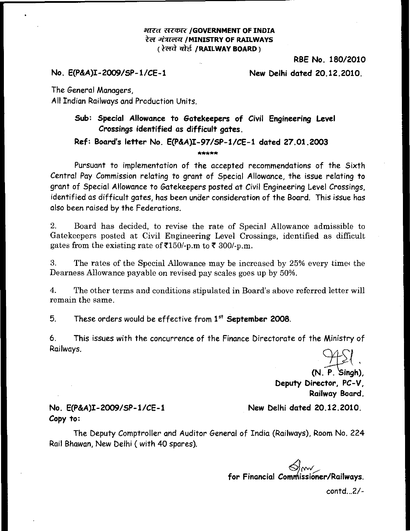#### **ative and STAR / GOVERNMENT OF INDIA रेल मंत्रालय /MINISTRY OF RAILWAYS** ( रेलचे बोर्ड **/RAILWAY BOARD** )

**RBE No. 180/2010** 

**No. E(P&A)I-2009/SP-1/CE-1 New Delhi dated 20.12.2010.** 

The General Managers, All Indian Railways and Production Units.

> **Sub: Special Allowance to Gatekeepers of Civil Engineering Level Crossings identified as difficult gates.**

**Ref: Board's letter No. E(P&A)I-97/SP-1/CE-1 dated 27.01.2003** 

\*\*\*\*\*

Pursuant to implementation of the accepted recommendations of the Sixth Central Pay Commission relating to grant of Special Allowance, the issue relating to grant of Special Allowance to Gatekeepers posted at Civil Engineering Level Crossings, identified as difficult gates, has been under consideration of the Board. This issue has also been raised by the Federations.

2. Board has decided, to revise the rate of Special Allowance admissible to Gatekeepers posted at Civil Engineering Level Crossings, identified as difficult gates from the existing rate of  $\text{\textsterling}150/-p.m$  to  $\text{\textsterling}300/-p.m$ .

3. The rates of the Special Allowance may be increased by 25% every time< the Dearness Allowance payable on revised pay scales goes up by 50%.

4. The other terms and conditions stipulated in Board's above referred letter will remain the same.

5. These orders would be effective from 1<sup>st</sup> September 2008.

6. This issues with the concurrence of the Finance Directorate of the Ministry of Railways.

> **(N. P. Singh) Deputy Director,** *PC-V,*  **Railway Board.**

**No. E(P&A)I-2009/SP-1/CE-1 New Delhi dated 20.12.2010. Copy to:** 

The Deputy Comptroller and Auditor General of India (Railways), Room No. 224 Rail Bhawan, New Delhi ( with 40 spares).

> **Iffv1,- for Financial Com issioner/Railways.**

> > contd...2/-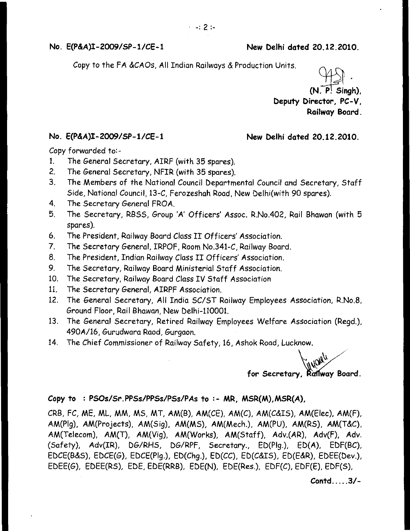### No. E(P&A)I-2009/SP-1/CE-1 New Delhi dated 20.12.2010.

Copy to the FA &CAOs, All Indian Railways & Production Units.

**(N. P Singh), Deputy Director, PC-V, Railway Board.** 

# **No. E(P&A)I-200915P-1/CE-1 New Delhi dated 20.12.2010.**

Copy forwarded to:-

- 1. The General Secretary, AIRF (with 35 spares).
- 2. The General Secretary, NFIR (with 35 spares).
- 3. The Members of the National Council Departmental Council and Secretary, Staff Side, National Council, 13-C, Ferozeshah Road, New Delhi(with 90 spares).
- 4. The Secretary General FROA.
- 5. The Secretary, RBSS, Group 'A' Officers' Assoc. R.No.402, Rail Bhawan (with 5 spares).
- 6. The President, Railway Board Class II Officers' Association.
- 7. The Secretary General, IRPOF, Room No.341-C, Railway Board.
- 8. The President, Indian Railway Class II Officers' Association.
- 9. The Secretary, Railway Board Ministerial Staff Association.
- 10. The Secretary, Railway Board Class IV Staff Association
- 11. The Secretary General, AIRPF Association.
- 12. The General Secretary, All India SC/ST Railway Employees Association, R.No.8, Ground Floor, Rail Bhawan, New Delhi-110001.
- 13. The General Secretary, Retired Railway Employees Welfare Association (Regd.), 490A/16, Gurudwara Raod, Gurgaon.
- 14. The Chief Commissioner of Railway Safety, 16, Ashok Road, Lucknow.

**for Secretary, Railway Board.** 

#### **Copy to :** PS0s/Sr.PP5s/PPSs/PSs/PAs **to :- MR, MSR(M),MSR(A),**

CRB, FC, ME, ML, MM, MS, MT, AM(B), AM(CE), AM(C), AM(C&IS), AM(Elec), AM(F), AM(Plg), AM(Projects), AM(Sig), AM(MS), AM(Mech.), AM(PU), AM(RS), AM(T&C), AM(Telecom), AM(T), AM(Vig), AM(Works), AM(Staff), Adv.(AR), Adv(F), Adv. (Safety), Adv(IR), DG/RHS, DG/RPF, Secretary., ED(Plg.), ED(A), EDF(BC), EDCE(B&S), EDCE(G), EDCE(Plg.), ED(Chg.), ED(CC), ED(C&IS), ED(E&R), EDEE(Dev.),  $EDEE(G)$ ,  $EDEE(RS)$ ,  $EDE$ ,  $EDE(RRB)$ ,  $EDE(N)$ ,  $EDE(Res.)$ ,  $EDF(C)$ ,  $EDF(E)$ ,  $EDF(S)$ ,

Contd.....3/-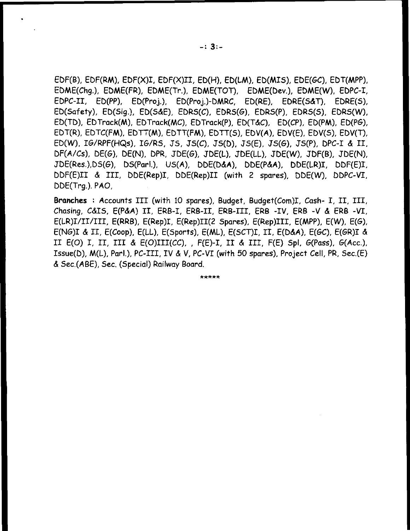EDF(B), EDF(RM), ECIF(X)I, EDF(X)II, ED(H), ED(LM), Eb(MI5), EDE(GC), EDT(MPP), EDME(Chg.), EDME(FR), EDME(Tr.), EDME(TOT), EDME(Dey.), EDME(W), EDPC-I, EDPC-II, ED(PP), ED(Proj.), ED(Proj.)-DMRC, ED(RE), EDRE(S&T), EDRE(5), ED(Safety), ED(Sig), ED(S&E), EDR5(C), EDRS(G), EDR5(P), EDR5(5), EbRS(W), ENID), EDTrack(M), EDTrack(MC), EDTrack(P), ED(T&C), ED(CP), ED(PM), ED(PG), EDT(R), EDTC(FM), EDTT(M), EDTT(FM), EDTT(S), EDV(A), EDV(E), EDV(S), EDV(T),  $ED(W)$ ,  $IG/RPF(HQs)$ ,  $IG/RS$ ,  $JS$ ,  $JS(C)$ ,  $JS(D)$ ,  $JS(E)$ ,  $JS(G)$ ,  $JS(P)$ ,  $DPC-I$  & II, bF(A/Cs), DE(6), DE(N), DPR, JDE(G), JDE(L), JDE(LL), JDE(W), JDF(B), TDE(N), JOE(Res.),D5(0), DS(Parl.), US(A), DDE(DdiA), DDE(P&A), DDE(LR)I, DDF(E)I, DDF(E)II & III, DDE(Rep)I, DDE(Rep)II (with 2 spares), DDE(W), DDPC-VI, DDE(Trg.). PAO,

**Branches ;** Accounts III (with 10 spares), Budget, Budget(Com)I, Cash- I, II, III, Chasing, C&IS, E(P&A) II, ERB-I, ERB-II, ERB-III, ERB -IV, ERB -V & ERB -VI, E(LR)I/II/III, E(RRB), E(Rep)I, E(Rep)II(2 Spares), E(Rep)III, E(MPP), E(W), E(G), E(NG)I & II, E(Coop), E(LL), E(Sports), E(ML), E(SCT)I, II, E(D&A), E(GC), E(GR)I & II  $E(O)$  I, II, III &  $E(O)III(CC)$ ,  $F(E)-I$ , II & III,  $F(E)$  Spi,  $G(Pass)$ ,  $G(Acc.)$ , Issue(D),  $M(L)$ , Parl.), PC-III, IV & V, PC-VI (with 50 spares), Project Cell, PR, Sec.(E) & Sec.(A BE), Sec. (Special) Railway Board.

\*\*\*\*\*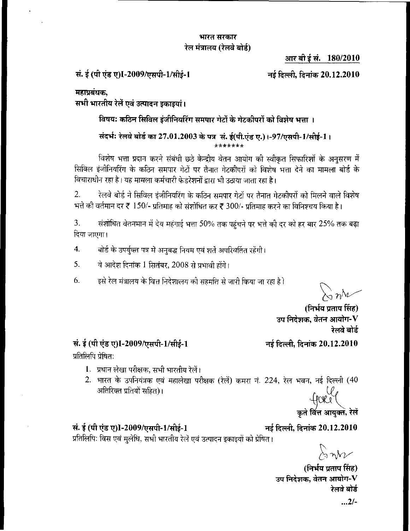### भारत सरकार रेल मंत्रालय (रेलवे बोर्ड)

आर बी ईसं. 180/2010

सं. ई (पी एंड ए)I-2009/एसपी-1/सीई-1

नई दिल्ली, दिनांक 20.12.2010

महाप्रबंधक.

सभी भारतीय रेलें एवं उत्पादन इकाइयां।

विषयः कठिन सिविल इंजीनियरिंग समपार गेटों के गेटकीपरों को विशेष भत्ता ।

संदर्भ: रेलवे बोर्ड का 27.01.2003 के पत्र सं. ई(पी.एंड ए.) ।-97/एसपी-1/सीई-1। \*\*\*\*\*\*\*

विशेष भत्ता प्रदान करने संबंधी छठे केन्द्रीय वेतन आयोग की स्वीकृत सिफारिशों के अनुसरण में सिविल इंजीनियरिंग के कठिन समपार गेटों पर तैनात गेटकीपरों को विशेष भत्ता देने का मामला बोर्ड के विचाराधीन रहा है। यह मामला कर्मचारी फेडरेशनों द्वारा भी उठाया जाता रहा है।

रेलवे बोर्ड ने सिविल इंजीनियरिंग के कठिन समपार गेटों पर तैनात गेटकीपरों को मिलने वाले विशेष 2. भत्ते की वर्तमान दर ₹ 150/- प्रतिमाह को संशोधित कर ₹ 300/- प्रतिमाह करने का विनिश्चय किया है।

संशोधित वेतनमान में देय महंगाई भत्ता 50% तक पहुंचने पर भत्ते की दर को हर बार 25% तक बढ़ा 3. दिया जाएगा।

बोर्ड के उपर्युक्त पत्र में अनुबद्ध नियम एवं शर्ते अपरिवर्तित रहेंगी।  $\overline{4}$ .

5. ये आदेश दिनांक 1 सितंबर, 2008 से प्रभावी होंगे।

6. इसे रेल मंत्रालय के वित्त निदेशालय की सहमति से जारी किया जा रहा है l

 $\sum nM$ 

(निर्भय प्रताप सिंह) उप निदेशक, वेतन आयोग- ${\bf V}$ रेलवे बोडे

नई दिल्ली, दिनांक 20.12.2010

नई दिल्ली, दिनांक 20.12.2010

प्रतिलिपि प्रेषित:

- 1. प्रधान लेखा परीक्षक, सभी भारतीय रेलें।
- 2. भारत के उपनियंत्रक एवं महालेखा परीक्षक (रेलें) कमरा नं. 224, रेल भवन, नई दिल्ली (40 अतिरिक्त प्रतियों सहित)।

कते वित्त आयक्ते, रेलें

सं. ई (पी एंड ए)I-2009/एसपी-1/सीई-1

सं. ई (पी एंड ए)I-2009/एसपी-1/सीई-1

प्रतिलिपिः विस एवं मुलेधि, सभी भारतीय रेलें एवं उत्पादन इकाइयों को प्रेषित।

 $\sum_{i=1}^{n}$ 

(निर्भय प्रताप सिंह) उप निदेशक, वेतन आयोग- ${\bf V}$ रेलवे बोर्ड